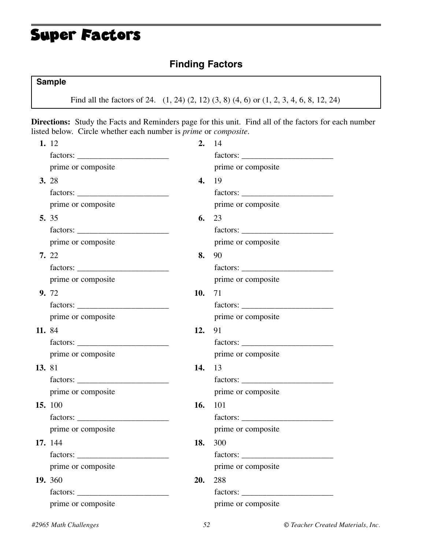## Super Factors

### **Finding Factors**

#### **Sample**

Find all the factors of 24. (1, 24) (2, 12) (3, 8) (4, 6) or (1, 2, 3, 4, 6, 8, 12, 24)

**Directions:** Study the Facts and Reminders page for this unit. Find all of the factors for each number listed below. Circle whether each number is *prime* or *composite*.

|        | 1. 12              | 2.  | 14                 |
|--------|--------------------|-----|--------------------|
|        |                    |     |                    |
|        | prime or composite |     | prime or composite |
|        | <b>3.</b> 28       | 4.  | 19                 |
|        | $factors: \_\_$    |     |                    |
|        | prime or composite |     | prime or composite |
|        | 5. 35              | 6.  | 23                 |
|        |                    |     |                    |
|        | prime or composite |     | prime or composite |
|        | 7. 22              | 8.  | 90                 |
|        |                    |     |                    |
|        | prime or composite |     | prime or composite |
|        | <b>9.</b> 72       | 10. | 71                 |
|        |                    |     |                    |
|        | prime or composite |     | prime or composite |
| 11.84  |                    | 12. | 91                 |
|        |                    |     |                    |
|        | prime or composite |     | prime or composite |
| 13. 81 |                    | 14. | 13                 |
|        |                    |     |                    |
|        | prime or composite |     | prime or composite |
|        | <b>15.</b> 100     | 16. | 101                |
|        |                    |     |                    |
|        | prime or composite |     | prime or composite |
|        | 17. 144            | 18. | 300                |
|        |                    |     |                    |
|        | prime or composite |     | prime or composite |
|        | <b>19.</b> 360     | 20. | 288                |
|        |                    |     |                    |
|        | prime or composite |     | prime or composite |
|        |                    |     |                    |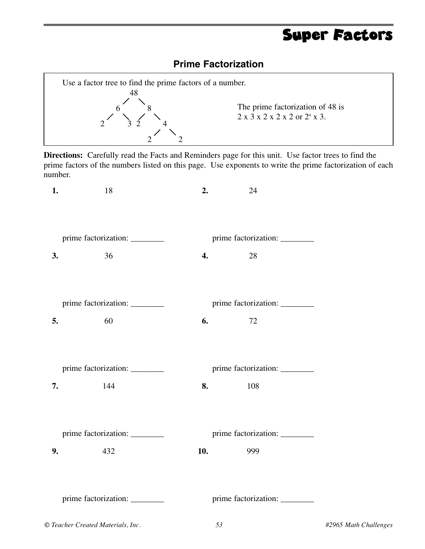# Super Factors

#### **Prime Factorization**



**Directions:** Carefully read the Facts and Reminders page for this unit. Use factor trees to find the prime factors of the numbers listed on this page. Use exponents to write the prime factorization of each number.

| 1.                             | 18                                | 2. | 24                                                                                                                                                                                                                                         |                       |
|--------------------------------|-----------------------------------|----|--------------------------------------------------------------------------------------------------------------------------------------------------------------------------------------------------------------------------------------------|-----------------------|
|                                |                                   |    |                                                                                                                                                                                                                                            |                       |
|                                | prime factorization: _________    |    | prime factorization: _________                                                                                                                                                                                                             |                       |
| 3.                             | 36                                | 4. | 28                                                                                                                                                                                                                                         |                       |
|                                | prime factorization: _________    |    | prime factorization: ________                                                                                                                                                                                                              |                       |
| 5.                             | 60                                | 6. | 72                                                                                                                                                                                                                                         |                       |
|                                | prime factorization: ________     |    | prime factorization: ________                                                                                                                                                                                                              |                       |
| 7.                             | 144                               |    | 8.<br>108                                                                                                                                                                                                                                  |                       |
| prime factorization: _________ |                                   |    | prime factorization: _________                                                                                                                                                                                                             |                       |
| 9.                             | 432                               |    | <b>10.</b> The contract of the contract of the contract of the contract of the contract of the contract of the contract of the contract of the contract of the contract of the contract of the contract of the contract of the cont<br>999 |                       |
|                                | prime factorization: ________     |    | prime factorization: ________                                                                                                                                                                                                              |                       |
|                                | © Teacher Created Materials, Inc. |    | 53                                                                                                                                                                                                                                         | #2965 Math Challenges |